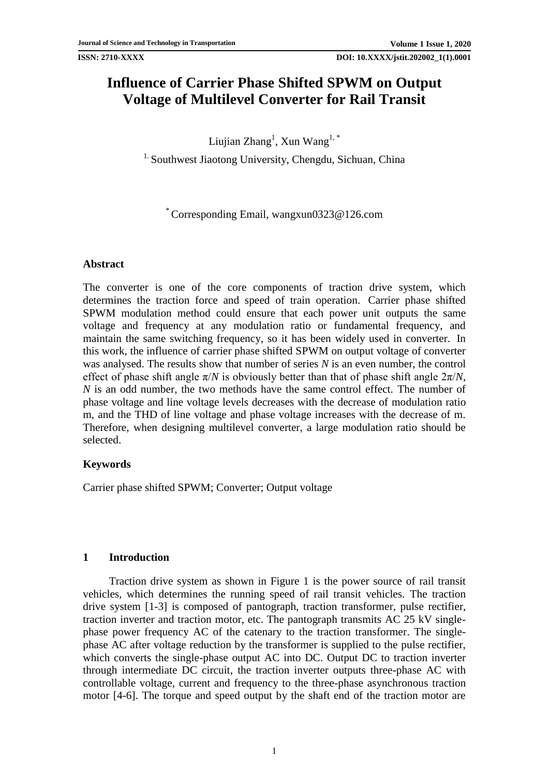# **Influence of Carrier Phase Shifted SPWM on Output Voltage of Multilevel Converter for Rail Transit**

Liujian Zhang $^1$ , Xun Wang $^{1,\, *}$ 

<sup>1.</sup> Southwest Jiaotong University, Chengdu, Sichuan, China

\* Corresponding Email, wangxun0323@126.com

# **Abstract**

The converter is one of the core components of traction drive system, which determines the traction force and speed of train operation. Carrier phase shifted SPWM modulation method could ensure that each power unit outputs the same voltage and frequency at any modulation ratio or fundamental frequency, and maintain the same switching frequency, so it has been widely used in converter. In this work, the influence of carrier phase shifted SPWM on output voltage of converter was analysed. The results show that number of series *N* is an even number, the control effect of phase shift angle  $\pi/N$  is obviously better than that of phase shift angle  $2\pi/N$ , *N* is an odd number, the two methods have the same control effect. The number of phase voltage and line voltage levels decreases with the decrease of modulation ratio m, and the THD of line voltage and phase voltage increases with the decrease of m. Therefore, when designing multilevel converter, a large modulation ratio should be selected.

# **Keywords**

Carrier phase shifted SPWM; Converter; Output voltage

# **1 Introduction**

Traction drive system as shown in Figure 1 is the power source of rail transit vehicles, which determines the running speed of rail transit vehicles. The traction drive system [\[1-3\]](#page-6-0) is composed of pantograph, traction transformer, pulse rectifier, traction inverter and traction motor, etc. The pantograph transmits AC 25 kV singlephase power frequency AC of the catenary to the traction transformer. The singlephase AC after voltage reduction by the transformer is supplied to the pulse rectifier, which converts the single-phase output AC into DC. Output DC to traction inverter through intermediate DC circuit, the traction inverter outputs three-phase AC with controllable voltage, current and frequency to the three-phase asynchronous traction motor [\[4-6\]](#page-7-0). The torque and speed output by the shaft end of the traction motor are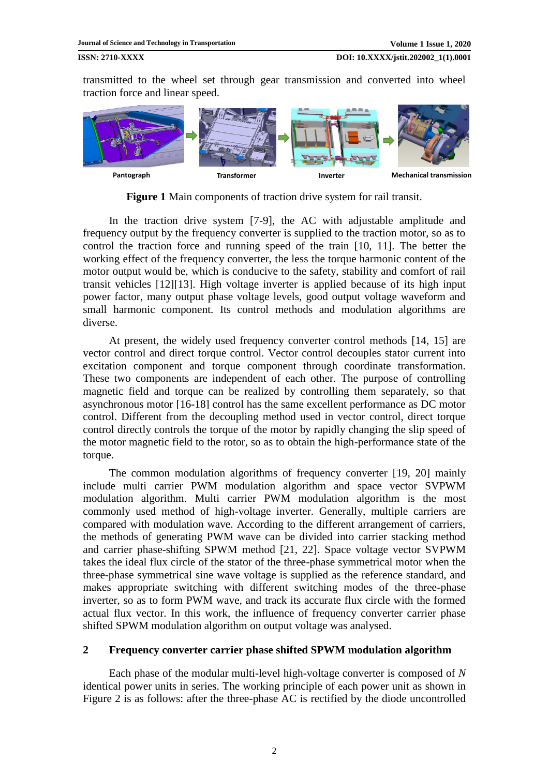transmitted to the wheel set through gear transmission and converted into wheel traction force and linear speed.



**Figure 1** Main components of traction drive system for rail transit.

In the traction drive system [\[7-9\]](#page-7-1), the AC with adjustable amplitude and frequency output by the frequency converter is supplied to the traction motor, so as to control the traction force and running speed of the train [\[10,](#page-7-2) [11\]](#page-7-3). The better the working effect of the frequency converter, the less the torque harmonic content of the motor output would be, which is conducive to the safety, stability and comfort of rail transit vehicles [\[12\]](#page-7-4)[\[13\]](#page-7-5). High voltage inverter is applied because of its high input power factor, many output phase voltage levels, good output voltage waveform and small harmonic component. Its control methods and modulation algorithms are diverse.

At present, the widely used frequency converter control methods [\[14,](#page-7-6) [15\]](#page-7-7) are vector control and direct torque control. Vector control decouples stator current into excitation component and torque component through coordinate transformation. These two components are independent of each other. The purpose of controlling magnetic field and torque can be realized by controlling them separately, so that asynchronous motor [\[16-18\]](#page-7-8) control has the same excellent performance as DC motor control. Different from the decoupling method used in vector control, direct torque control directly controls the torque of the motor by rapidly changing the slip speed of the motor magnetic field to the rotor, so as to obtain the high-performance state of the torque.

The common modulation algorithms of frequency converter [\[19,](#page-8-0) [20\]](#page-8-1) mainly include multi carrier PWM modulation algorithm and space vector SVPWM modulation algorithm. Multi carrier PWM modulation algorithm is the most commonly used method of high-voltage inverter. Generally, multiple carriers are compared with modulation wave. According to the different arrangement of carriers, the methods of generating PWM wave can be divided into carrier stacking method and carrier phase-shifting SPWM method [\[21,](#page-8-2) [22\]](#page-8-3). Space voltage vector SVPWM takes the ideal flux circle of the stator of the three-phase symmetrical motor when the three-phase symmetrical sine wave voltage is supplied as the reference standard, and makes appropriate switching with different switching modes of the three-phase inverter, so as to form PWM wave, and track its accurate flux circle with the formed actual flux vector. In this work, the influence of frequency converter carrier phase shifted SPWM modulation algorithm on output voltage was analysed.

### **2 Frequency converter carrier phase shifted SPWM modulation algorithm**

Each phase of the modular multi-level high-voltage converter is composed of *N* identical power units in series. The working principle of each power unit as shown in Figure 2 is as follows: after the three-phase AC is rectified by the diode uncontrolled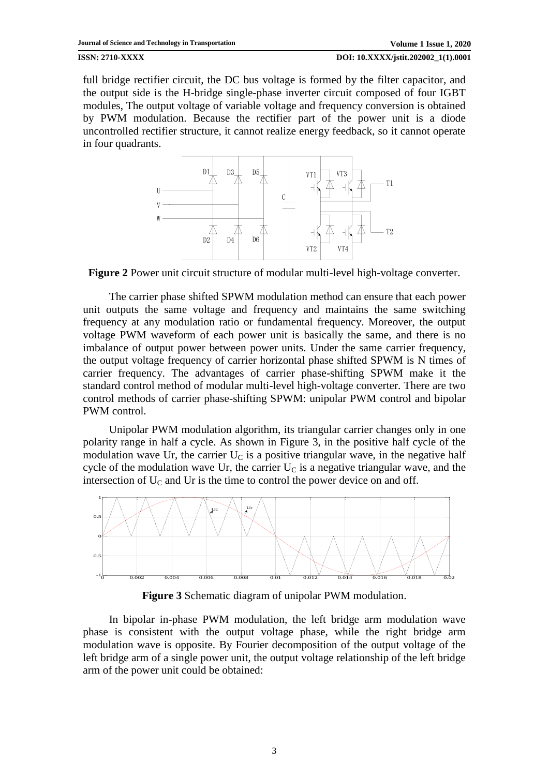full bridge rectifier circuit, the DC bus voltage is formed by the filter capacitor, and the output side is the H-bridge single-phase inverter circuit composed of four IGBT modules, The output voltage of variable voltage and frequency conversion is obtained by PWM modulation. Because the rectifier part of the power unit is a diode uncontrolled rectifier structure, it cannot realize energy feedback, so it cannot operate in four quadrants.



**Figure 2** Power unit circuit structure of modular multi-level high-voltage converter.

The carrier phase shifted SPWM modulation method can ensure that each power unit outputs the same voltage and frequency and maintains the same switching frequency at any modulation ratio or fundamental frequency. Moreover, the output voltage PWM waveform of each power unit is basically the same, and there is no imbalance of output power between power units. Under the same carrier frequency, the output voltage frequency of carrier horizontal phase shifted SPWM is N times of carrier frequency. The advantages of carrier phase-shifting SPWM make it the standard control method of modular multi-level high-voltage converter. There are two control methods of carrier phase-shifting SPWM: unipolar PWM control and bipolar PWM control.

Unipolar PWM modulation algorithm, its triangular carrier changes only in one polarity range in half a cycle. As shown in Figure 3, in the positive half cycle of the modulation wave Ur, the carrier  $U<sub>C</sub>$  is a positive triangular wave, in the negative half cycle of the modulation wave Ur, the carrier  $U<sub>C</sub>$  is a negative triangular wave, and the intersection of  $U_{\text{C}}$  and Ur is the time to control the power device on and off.



**Figure 3** Schematic diagram of unipolar PWM modulation.

In bipolar in-phase PWM modulation, the left bridge arm modulation wave phase is consistent with the output voltage phase, while the right bridge arm modulation wave is opposite. By Fourier decomposition of the output voltage of the left bridge arm of a single power unit, the output voltage relationship of the left bridge arm of the power unit could be obtained: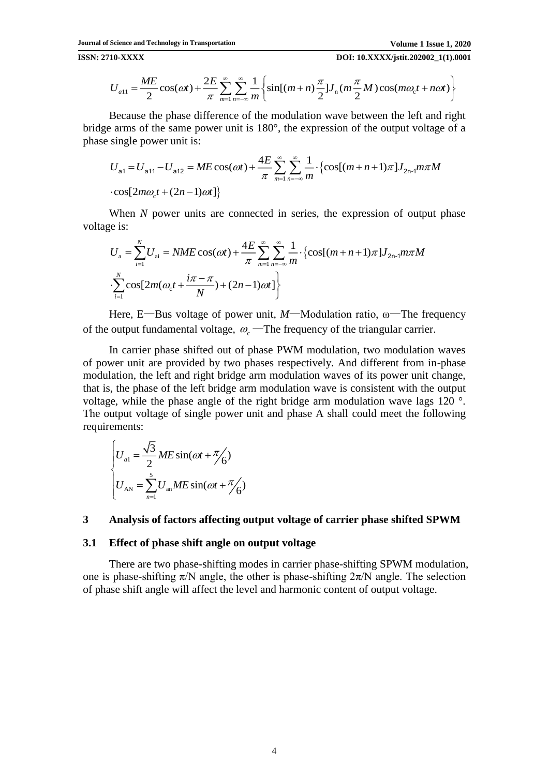**ISSN: 2710-XXXX DOI: 10.XXXX/jstit.202002\_1(1).0001**

$$
U_{a11} = \frac{ME}{2}\cos(\omega t) + \frac{2E}{\pi}\sum_{m=1}^{\infty}\sum_{n=-\infty}^{\infty}\frac{1}{m}\left\{\sin[(m+n)\frac{\pi}{2}]J_n(m\frac{\pi}{2}M)\cos(m\omega_c t + n\omega t)\right\}
$$

Because the phase difference of the modulation wave between the left and right bridge arms of the same power unit is 180°, the expression of the output voltage of a phase single power unit is:<br>  $U_{a1} = U_{a11} - U_{a12} = ME \cos(\omega t) + \frac{4E}{\pi} \sum_{m=1}^{\infty} \sum_{n=-\infty}^{\infty} \frac{1}{m} \cdot {\cos[(m+n+1)\pi] J_{2n-1} m \pi M}$ phase single power unit is:  $\sum_{\alpha=1}^{\infty}$ the modulation wave between the left and right<br>init is 180°, the expression of the output voltage of a<br> $\omega t$ ) +  $\frac{4E}{\pi} \sum_{m=1}^{\infty} \sum_{n=-\infty}^{\infty} \frac{1}{m} \cdot {\cos[(m+n+1)\pi] J_{2n-1} m \pi M}$ 

$$
U_{\text{a1}} = U_{\text{a11}} - U_{\text{a12}} = ME \cos(\omega t) + \frac{4E}{\pi} \sum_{m=1}^{\infty} \sum_{n=-\infty}^{\infty} \frac{1}{m} \cdot \left\{ \cos[(m+n+1)\pi] J_{2n-1} m \pi M \right\}
$$

$$
\cdot \cos[2m\omega_c t + (2n-1)\omega t] \right\}
$$

When *N* power units are connected in series, the expression of output phase voltage is:

$$
U_{\rm a} = \sum_{i=1}^{N} U_{\rm ai} = NME \cos(\omega t) + \frac{4E}{\pi} \sum_{m=1}^{\infty} \sum_{n=-\infty}^{\infty} \frac{1}{m} \cdot \left\{ \cos[(m+n+1)\pi] J_{2n-1} m \pi M \right\}
$$

$$
\cdot \sum_{i=1}^{N} \cos[2m(\omega_c t + \frac{i\pi - \pi}{N}) + (2n-1)\omega t] \right\}
$$

Here, E—Bus voltage of power unit, *M*—Modulation ratio, ω—The frequency of the output fundamental voltage,  $\omega_c$  – The frequency of the triangular carrier.

In carrier phase shifted out of phase PWM modulation, two modulation waves of power unit are provided by two phases respectively. And different from in-phase modulation, the left and right bridge arm modulation waves of its power unit change, that is, the phase of the left bridge arm modulation wave is consistent with the output voltage, while the phase angle of the right bridge arm modulation wave lags 120 °. The output voltage of single power unit and phase A shall could meet the following requirements:

$$
\begin{cases}\nU_{a1} = \frac{\sqrt{3}}{2} ME \sin(\omega t + \frac{\pi}{6}) \\
U_{AN} = \sum_{n=1}^{5} U_{an} ME \sin(\omega t + \frac{\pi}{6})\n\end{cases}
$$

## **3 Analysis of factors affecting output voltage of carrier phase shifted SPWM**

### **3.1 Effect of phase shift angle on output voltage**

There are two phase-shifting modes in carrier phase-shifting SPWM modulation, one is phase-shifting  $\pi/N$  angle, the other is phase-shifting  $2\pi/N$  angle. The selection of phase shift angle will affect the level and harmonic content of output voltage.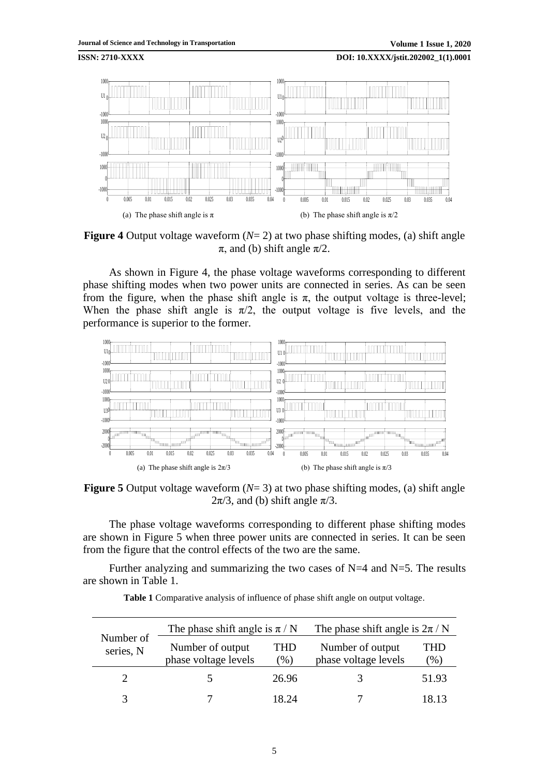

**Figure 4** Output voltage waveform (*N*= 2) at two phase shifting modes, (a) shift angle  $\pi$ , and (b) shift angle  $\pi/2$ .

As shown in Figure 4, the phase voltage waveforms corresponding to different phase shifting modes when two power units are connected in series. As can be seen from the figure, when the phase shift angle is  $\pi$ , the output voltage is three-level; When the phase shift angle is  $\pi/2$ , the output voltage is five levels, and the performance is superior to the former.



**Figure 5** Output voltage waveform (*N*= 3) at two phase shifting modes, (a) shift angle  $2\pi/3$ , and (b) shift angle  $\pi/3$ .

The phase voltage waveforms corresponding to different phase shifting modes are shown in Figure 5 when three power units are connected in series. It can be seen from the figure that the control effects of the two are the same.

Further analyzing and summarizing the two cases of  $N=4$  and  $N=5$ . The results are shown in Table 1.

| Number of<br>series, N | The phase shift angle is $\pi/N$         |                      | The phase shift angle is $2\pi/N$        |             |
|------------------------|------------------------------------------|----------------------|------------------------------------------|-------------|
|                        | Number of output<br>phase voltage levels | <b>THD</b><br>$(\%)$ | Number of output<br>phase voltage levels | FHD<br>(% ) |
|                        |                                          | 26.96                |                                          | 51.93       |
| 2                      |                                          | 18 74                |                                          |             |

| Table 1 Comparative analysis of influence of phase shift angle on output voltage. |  |  |  |  |  |  |
|-----------------------------------------------------------------------------------|--|--|--|--|--|--|
|-----------------------------------------------------------------------------------|--|--|--|--|--|--|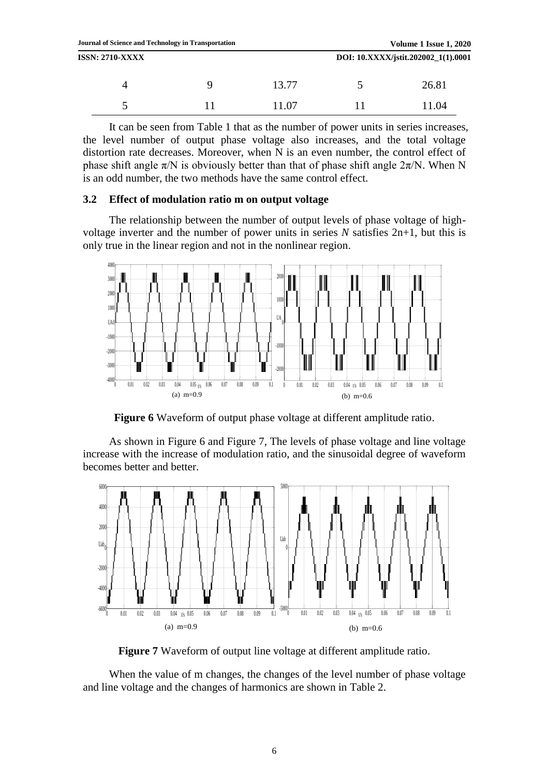| ັ | 11.07 | ب | 11.04 |
|---|-------|---|-------|
|   | 13.77 |   | 26.81 |

It can be seen from Table 1 that as the number of power units in series increases, the level number of output phase voltage also increases, and the total voltage distortion rate decreases. Moreover, when N is an even number, the control effect of phase shift angle  $\pi/N$  is obviously better than that of phase shift angle  $2\pi/N$ . When N is an odd number, the two methods have the same control effect.

# **3.2 Effect of modulation ratio m on output voltage**

The relationship between the number of output levels of phase voltage of highvoltage inverter and the number of power units in series *N* satisfies 2n+1, but this is only true in the linear region and not in the nonlinear region.



**Figure 6** Waveform of output phase voltage at different amplitude ratio.

As shown in Figure 6 and Figure 7, The levels of phase voltage and line voltage increase with the increase of modulation ratio, and the sinusoidal degree of waveform becomes better and better.



**Figure 7** Waveform of output line voltage at different amplitude ratio.

When the value of m changes, the changes of the level number of phase voltage and line voltage and the changes of harmonics are shown in Table 2.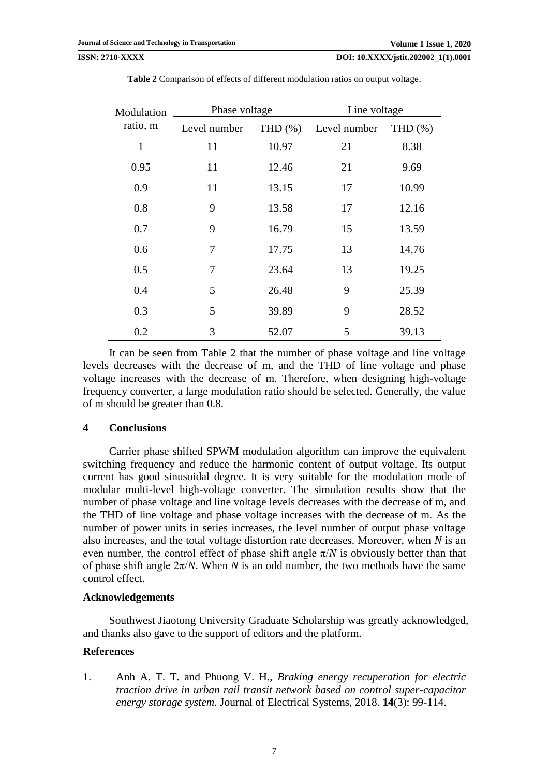**ISSN: 2710-XXXX DOI: 10.XXXX/jstit.202002\_1(1).0001**

| Modulation<br>ratio, m | Phase voltage |            | Line voltage |            |
|------------------------|---------------|------------|--------------|------------|
|                        | Level number  | THD $(\%)$ | Level number | THD $(\%)$ |
| 1                      | 11            | 10.97      | 21           | 8.38       |
| 0.95                   | 11            | 12.46      | 21           | 9.69       |
| 0.9                    | 11            | 13.15      | 17           | 10.99      |
| 0.8                    | 9             | 13.58      | 17           | 12.16      |
| 0.7                    | 9             | 16.79      | 15           | 13.59      |
| 0.6                    | 7             | 17.75      | 13           | 14.76      |
| 0.5                    | 7             | 23.64      | 13           | 19.25      |
| 0.4                    | 5             | 26.48      | 9            | 25.39      |
| 0.3                    | 5             | 39.89      | 9            | 28.52      |
| 0.2                    | 3             | 52.07      | 5            | 39.13      |

**Table 2** Comparison of effects of different modulation ratios on output voltage.

It can be seen from Table 2 that the number of phase voltage and line voltage levels decreases with the decrease of m, and the THD of line voltage and phase voltage increases with the decrease of m. Therefore, when designing high-voltage frequency converter, a large modulation ratio should be selected. Generally, the value of m should be greater than 0.8.

### **4 Conclusions**

Carrier phase shifted SPWM modulation algorithm can improve the equivalent switching frequency and reduce the harmonic content of output voltage. Its output current has good sinusoidal degree. It is very suitable for the modulation mode of modular multi-level high-voltage converter. The simulation results show that the number of phase voltage and line voltage levels decreases with the decrease of m, and the THD of line voltage and phase voltage increases with the decrease of m. As the number of power units in series increases, the level number of output phase voltage also increases, and the total voltage distortion rate decreases. Moreover, when *N* is an even number, the control effect of phase shift angle  $\pi/N$  is obviously better than that of phase shift angle  $2\pi/N$ . When *N* is an odd number, the two methods have the same control effect.

### **Acknowledgements**

Southwest Jiaotong University Graduate Scholarship was greatly acknowledged, and thanks also gave to the support of editors and the platform.

### **References**

<span id="page-6-0"></span>1. Anh A. T. T. and Phuong V. H., *Braking energy recuperation for electric traction drive in urban rail transit network based on control super-capacitor energy storage system.* Journal of Electrical Systems, 2018. **14**(3): 99-114.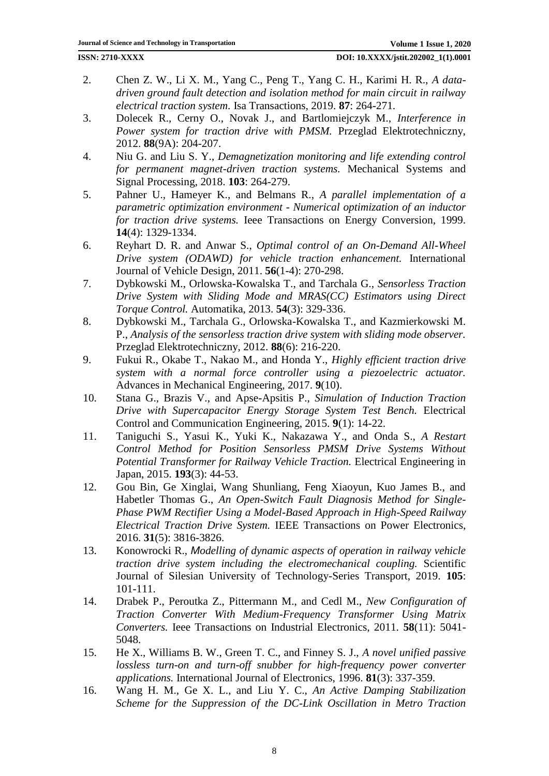- 2. Chen Z. W., Li X. M., Yang C., Peng T., Yang C. H., Karimi H. R., *A datadriven ground fault detection and isolation method for main circuit in railway electrical traction system.* Isa Transactions, 2019. **87**: 264-271.
- 3. Dolecek R., Cerny O., Novak J., and Bartlomiejczyk M., *Interference in Power system for traction drive with PMSM.* Przeglad Elektrotechniczny, 2012. **88**(9A): 204-207.
- <span id="page-7-0"></span>4. Niu G. and Liu S. Y., *Demagnetization monitoring and life extending control for permanent magnet-driven traction systems.* Mechanical Systems and Signal Processing, 2018. **103**: 264-279.
- 5. Pahner U., Hameyer K., and Belmans R., *A parallel implementation of a parametric optimization environment - Numerical optimization of an inductor for traction drive systems.* Ieee Transactions on Energy Conversion, 1999. **14**(4): 1329-1334.
- 6. Reyhart D. R. and Anwar S., *Optimal control of an On-Demand All-Wheel Drive system (ODAWD) for vehicle traction enhancement.* International Journal of Vehicle Design, 2011. **56**(1-4): 270-298.
- <span id="page-7-1"></span>7. Dybkowski M., Orlowska-Kowalska T., and Tarchala G., *Sensorless Traction Drive System with Sliding Mode and MRAS(CC) Estimators using Direct Torque Control.* Automatika, 2013. **54**(3): 329-336.
- 8. Dybkowski M., Tarchala G., Orlowska-Kowalska T., and Kazmierkowski M. P., *Analysis of the sensorless traction drive system with sliding mode observer.* Przeglad Elektrotechniczny, 2012. **88**(6): 216-220.
- 9. Fukui R., Okabe T., Nakao M., and Honda Y., *Highly efficient traction drive system with a normal force controller using a piezoelectric actuator.* Advances in Mechanical Engineering, 2017. **9**(10).
- <span id="page-7-2"></span>10. Stana G., Brazis V., and Apse-Apsitis P., *Simulation of Induction Traction Drive with Supercapacitor Energy Storage System Test Bench.* Electrical Control and Communication Engineering, 2015. **9**(1): 14-22.
- <span id="page-7-3"></span>11. Taniguchi S., Yasui K., Yuki K., Nakazawa Y., and Onda S., *A Restart Control Method for Position Sensorless PMSM Drive Systems Without Potential Transformer for Railway Vehicle Traction.* Electrical Engineering in Japan, 2015. **193**(3): 44-53.
- <span id="page-7-4"></span>12. Gou Bin, Ge Xinglai, Wang Shunliang, Feng Xiaoyun, Kuo James B., and Habetler Thomas G., *An Open-Switch Fault Diagnosis Method for Single-Phase PWM Rectifier Using a Model-Based Approach in High-Speed Railway Electrical Traction Drive System.* IEEE Transactions on Power Electronics, 2016. **31**(5): 3816-3826.
- <span id="page-7-5"></span>13. Konowrocki R., *Modelling of dynamic aspects of operation in railway vehicle traction drive system including the electromechanical coupling.* Scientific Journal of Silesian University of Technology-Series Transport, 2019. **105**: 101-111.
- <span id="page-7-6"></span>14. Drabek P., Peroutka Z., Pittermann M., and Cedl M., *New Configuration of Traction Converter With Medium-Frequency Transformer Using Matrix Converters.* Ieee Transactions on Industrial Electronics, 2011. **58**(11): 5041- 5048.
- <span id="page-7-7"></span>15. He X., Williams B. W., Green T. C., and Finney S. J., *A novel unified passive lossless turn-on and turn-off snubber for high-frequency power converter applications.* International Journal of Electronics, 1996. **81**(3): 337-359.
- <span id="page-7-8"></span>16. Wang H. M., Ge X. L., and Liu Y. C., *An Active Damping Stabilization Scheme for the Suppression of the DC-Link Oscillation in Metro Traction*